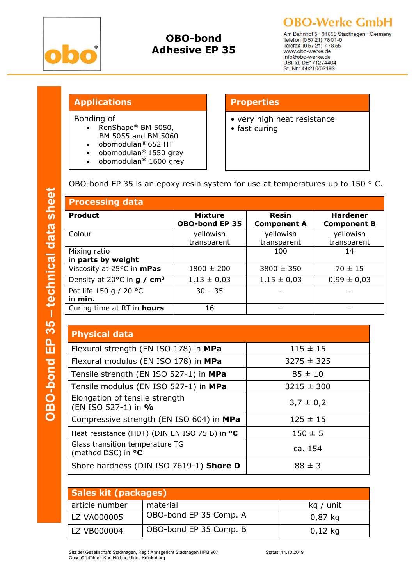

# OBO-bond Adhesive EP 35

**OBO-Werke GmbH** 

Am Bahnhof 5 · 31655 Stadthagen · Germany<br>Telefon (0 57 21) 78 01-0<br>Telefax (0 57 21) 7 78 55 www.obo-werke.de info@obo-werke.de USt-Id: DE171274404<br>St -Nr : 44/210/02193

## Applications **Properties**

Bonding of

- RenShape® BM 5050, BM 5055 and BM 5060
- obomodulan® 652 HT
- obomodulan<sup>®</sup> 1550 grey
- obomodulan® 1600 grey

- very high heat resistance
- fast curing

OBO-bond EP 35 is an epoxy resin system for use at temperatures up to 150 ° C.

| <b>Processing data</b>                                   |                                         |                             |                                       |  |
|----------------------------------------------------------|-----------------------------------------|-----------------------------|---------------------------------------|--|
| <b>Product</b>                                           | <b>Mixture</b><br><b>OBO-bond EP 35</b> | Resin<br><b>Component A</b> | <b>Hardener</b><br><b>Component B</b> |  |
| Colour                                                   | yellowish<br>transparent                | yellowish<br>transparent    | yellowish<br>transparent              |  |
| Mixing ratio<br>in parts by weight                       |                                         | 100                         | 14                                    |  |
| Viscosity at 25°C in mPas                                | $1800 \pm 200$                          | $3800 \pm 350$              | $70 \pm 15$                           |  |
| Density at 20 $^{\circ}$ C in <b>g</b> / cm <sup>3</sup> | $1,13 \pm 0,03$                         | $1,15 \pm 0,03$             | $0,99 \pm 0,03$                       |  |
| Pot life 150 g / 20 °C<br>in min.                        | $30 - 35$                               |                             |                                       |  |
| Curing time at RT in <b>hours</b>                        | 16                                      |                             |                                       |  |

## Physical data

| Flexural strength (EN ISO 178) in MPa                        | $115 \pm 15$   |  |
|--------------------------------------------------------------|----------------|--|
| Flexural modulus (EN ISO 178) in MPa                         | $3275 \pm 325$ |  |
| Tensile strength (EN ISO 527-1) in MPa                       | $85 \pm 10$    |  |
| Tensile modulus (EN ISO 527-1) in MPa                        | $3215 \pm 300$ |  |
| Elongation of tensile strength<br>(EN ISO 527-1) in %        | $3,7 \pm 0,2$  |  |
| Compressive strength (EN ISO 604) in MPa                     | $125 \pm 15$   |  |
| Heat resistance (HDT) (DIN EN ISO 75 B) in °C                | $150 \pm 5$    |  |
| Glass transition temperature TG<br>(method DSC) in <b>°C</b> | ca. 154        |  |
| Shore hardness (DIN ISO 7619-1) Shore D                      | $88 \pm 3$     |  |

| <b>Sales kit (packages)</b> |                        |           |  |  |
|-----------------------------|------------------------|-----------|--|--|
| article number              | material               | kg / unit |  |  |
| LZ VA000005                 | OBO-bond EP 35 Comp. A | $0,87$ kg |  |  |
| LZ VB000004                 | OBO-bond EP 35 Comp. B | $0,12$ kg |  |  |